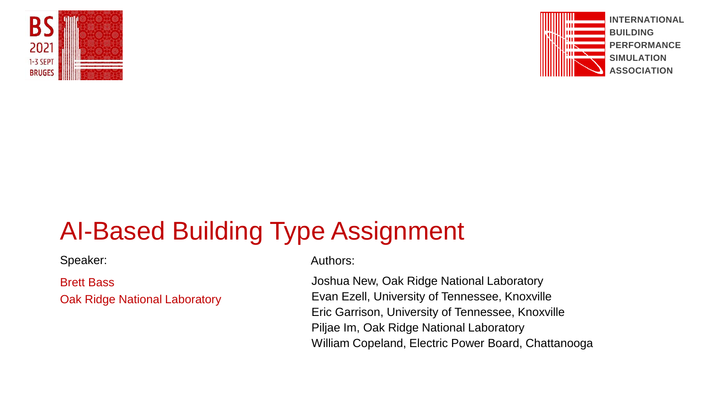



# AI-Based Building Type Assignment

Speaker: Authors: Authors:

Brett Bass Oak Ridge National Laboratory

Joshua New, Oak Ridge National Laboratory Evan Ezell, University of Tennessee, Knoxville Eric Garrison, University of Tennessee, Knoxville Piljae Im, Oak Ridge National Laboratory William Copeland, Electric Power Board, Chattanooga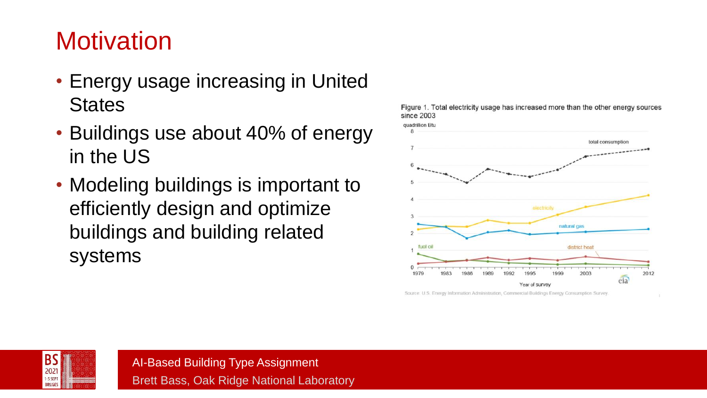# **Motivation**

- Energy usage increasing in United **States**
- Buildings use about 40% of energy in the US
- Modeling buildings is important to efficiently design and optimize buildings and building related systems



Figure 1. Total electricity usage has increased more than the other energy sources since 2003

Source: U.S. Energy Information Administration, Commercial Buildings Energy Consumption Survey.

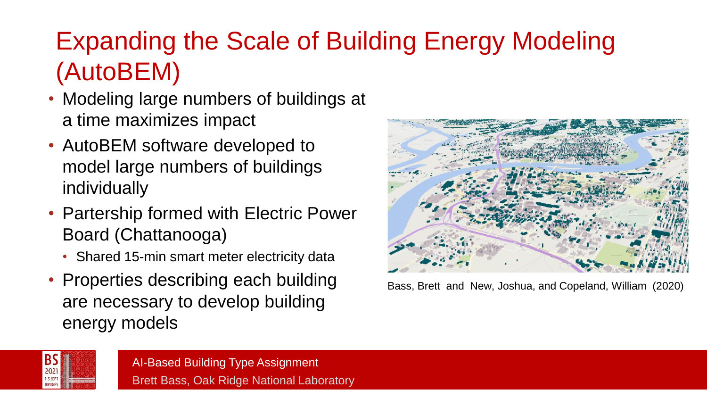# Expanding the Scale of Building Energy Modeling (AutoBEM)

- Modeling large numbers of buildings at a time maximizes impact
- AutoBEM software developed to model large numbers of buildings individually
- Partership formed with Electric Power Board (Chattanooga)
	- Shared 15-min smart meter electricity data
- Properties describing each building are necessary to develop building energy models



Bass, Brett and New, Joshua, and Copeland, William (2020)

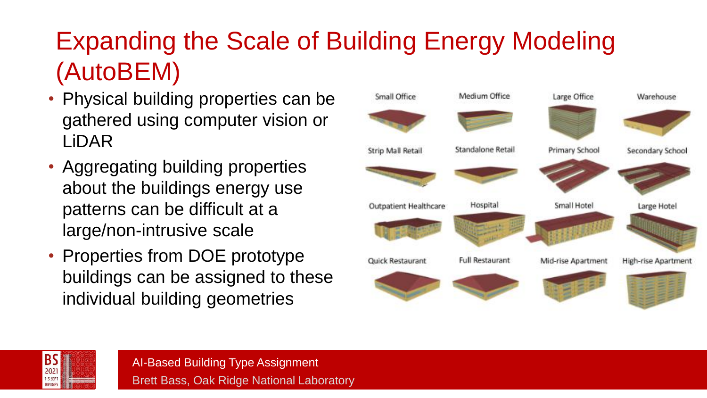# Expanding the Scale of Building Energy Modeling (AutoBEM)

- Physical building properties can be gathered using computer vision or LiDAR
- Aggregating building properties about the buildings energy use patterns can be difficult at a large/non-intrusive scale
- Properties from DOE prototype buildings can be assigned to these individual building geometries



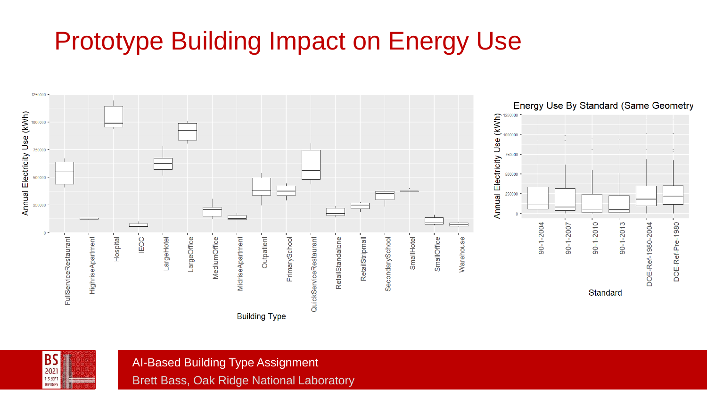# Prototype Building Impact on Energy Use



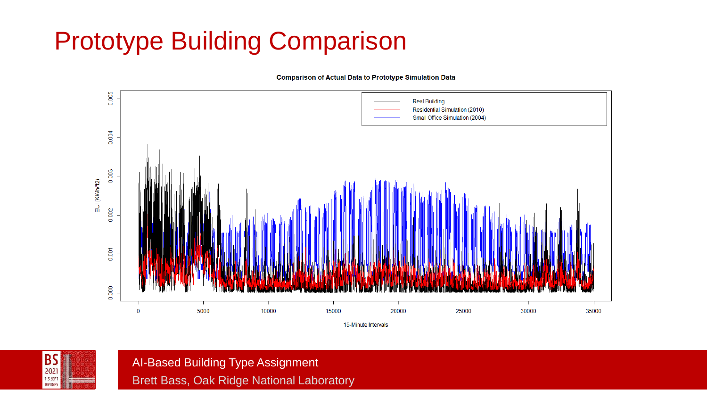# Prototype Building Comparison

0.005 **Real Building** Residential Simulation (2010) Small Office Simulation (2004) 0.004 0.003 EUI (KWh/ft2) 0.002 0.001 0.000 5000 10000 15000 20000 25000 30000 35000  $\mathbf{0}$ 15-Minute Intervals

**Comparison of Actual Data to Prototype Simulation Data** 

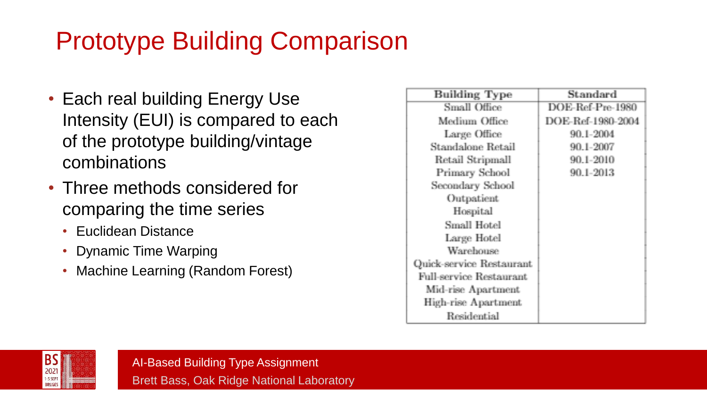# Prototype Building Comparison

- Each real building Energy Use Intensity (EUI) is compared to each of the prototype building/vintage combinations
- Three methods considered for comparing the time series
	- Euclidean Distance
	- Dynamic Time Warping
	- Machine Learning (Random Forest)

| <b>Building Type</b>     | Standard          |
|--------------------------|-------------------|
| Small Office             | DOE-Ref-Pre-1980  |
| Medium Office            | DOE-Ref-1980-2004 |
| Large Office             | 90 1-2004         |
| Standalone Retail        | 90 1-2007         |
| Retail Stripmall         | 90.1-2010         |
| Primary School           | 90.1-2013         |
| Secondary School         |                   |
| Outpatient               |                   |
| Hospital                 |                   |
| Small Hotel              |                   |
| Large Hotel              |                   |
| Warehouse                |                   |
| Quick-service Restaurant |                   |
| Full-service Restaurant  |                   |
| Mid-rise Apartment       |                   |
| High-rise Apartment      |                   |
| Residential              |                   |

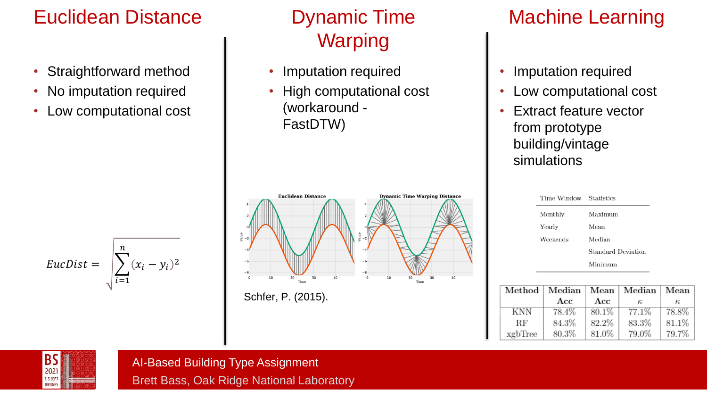## Euclidean Distance

- Straightforward method
- No imputation required
- Low computational cost

### Dynamic Time Warping

- Imputation required
- High computational cost (workaround - FastDTW)



Schfer, P. (2015).

## Machine Learning

- Imputation required
- Low computational cost
- **Extract feature vector** from prototype building/vintage simulations

| Time Window Statistics |                    |
|------------------------|--------------------|
| Monthly                | Maximum            |
| Yearly                 | Mean               |
| Weekends               | Median             |
|                        | Standard Deviation |
|                        | Minimum            |

|         |       |       | Method   Median   Mean   Median   Mean |       |
|---------|-------|-------|----------------------------------------|-------|
|         | Acc   | Acc   | к.                                     | к.    |
| KNN     | 78.4% | 80.1% | 77.1%                                  | 78.8% |
| ВF      | 84.3% | 82.2% | 83.3%                                  | 81.1% |
| xgbTree | 80.3% | 81.0% | 79.0%                                  | 79.7% |



 $EucDist = |$ 

 $i=1$ 

 $(x_i - y_i)^2$ 

 $\boldsymbol{n}$ 

AI-Based Building Type Assignment

Brett Bass, Oak Ridge National Laboratory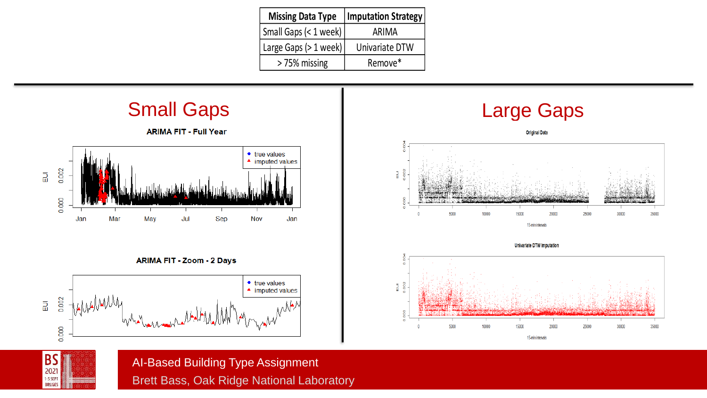| <b>Missing Data Type</b> | Imputation Strategy |
|--------------------------|---------------------|
| Small Gaps (< 1 week)    | ARIMA               |
| Large Gaps (> 1 week)    | Univariate DTW      |
| > 75% missing            | Remove*             |









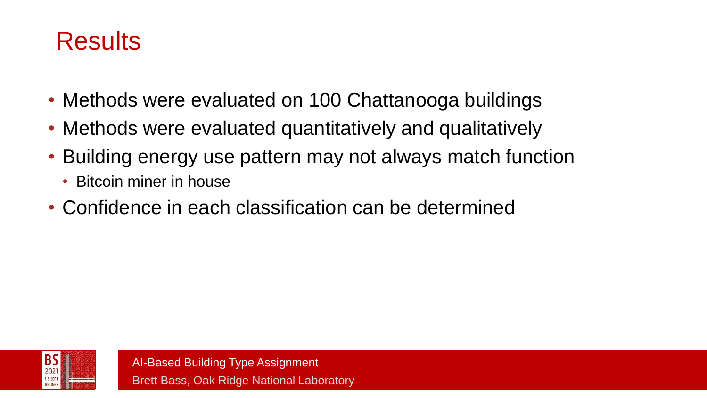## Results

- Methods were evaluated on 100 Chattanooga buildings
- Methods were evaluated quantitatively and qualitatively
- Building energy use pattern may not always match function
	- Bitcoin miner in house
- Confidence in each classification can be determined

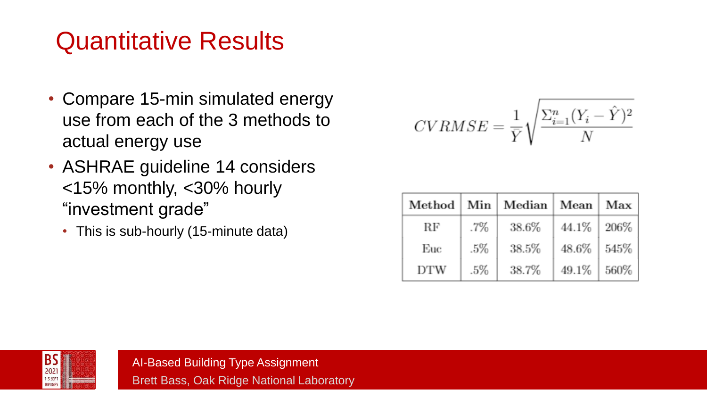# Quantitative Results

- Compare 15-min simulated energy use from each of the 3 methods to actual energy use
- ASHRAE guideline 14 considers <15% monthly, <30% hourly "investment grade"
	- This is sub-hourly (15-minute data)

$$
CVRMSE = \frac{1}{\bar{Y}} \sqrt{\frac{\Sigma_{i=1}^{n} (Y_i - \hat{Y})^2}{N}}
$$

| Method |     | Min   Median | Mean  | Max  |
|--------|-----|--------------|-------|------|
| RF     | .7% | 38.6%        | 44.1% | 206% |
| Euc    | .5% | 38.5%        | 48.6% | 545% |
| DTW    | .5% | 38.7%        | 49.1% | 560% |

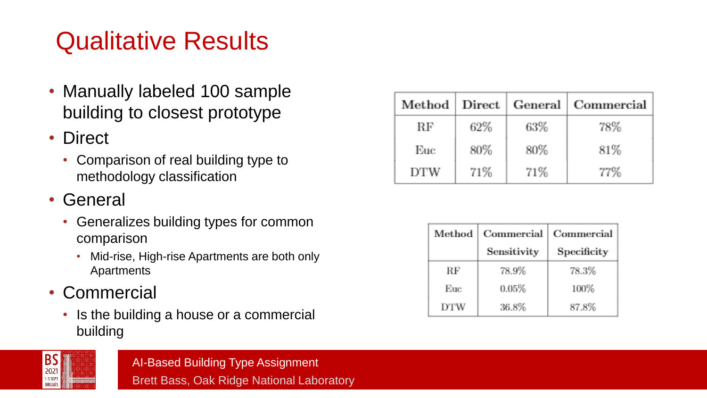# Qualitative Results

- Manually labeled 100 sample building to closest prototype
- Direct
	- Comparison of real building type to methodology classification
- General
	- Generalizes building types for common comparison
		- Mid-rise, High-rise Apartments are both only Apartments
- Commercial
	- Is the building a house or a commercial building

| 2021                      |  |
|---------------------------|--|
| 1-3 SEPT<br><b>BRUGES</b> |  |

|     |     |     | Method   Direct   General   Commercial |
|-----|-----|-----|----------------------------------------|
| RF  | 62% | 63% | 78%                                    |
| Euc | 80% | 80% | 81\%                                   |
| DTW | 71% | 71% | 77%                                    |

| Method | Commercial  | Commercial  |
|--------|-------------|-------------|
|        | Sensitivity | Specificity |
| RЕ     | 78.9%       | 78.3%       |
| Euc    | 0.05%       | 100%        |
| DTW    | 36.8%       | 87.8%       |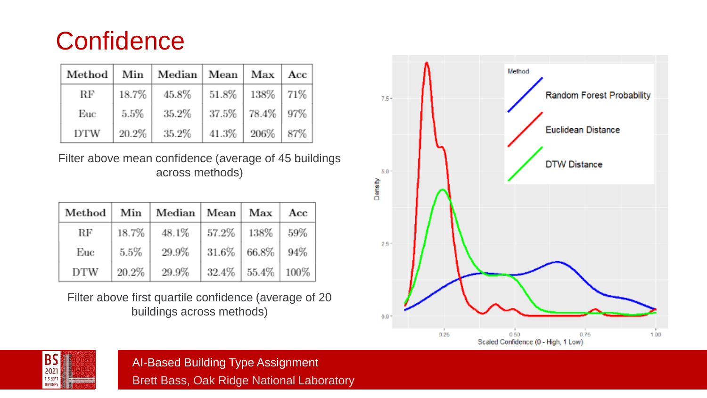## **Confidence**

|     |       | Method   Min   Median   Mean   Max   Acc |                             |  |
|-----|-------|------------------------------------------|-----------------------------|--|
| RF  | 18.7% | 45.8%                                    | $51.8\%$   $138\%$   $71\%$ |  |
| Euc | 5.5%  | 35.2%                                    | 37.5%   78.4%   97%         |  |
| DTW | 20.2% | 35.2%                                    | $41.3\%$   206\%   87\%     |  |

Filter above mean confidence (average of 45 buildings across methods)

|            |         | Method   Min   Median | Mean   Max   |                 | Acc  |
|------------|---------|-----------------------|--------------|-----------------|------|
| RF         | 18.7%   | 48.1%                 | 57.2%   138% |                 | 59%  |
| Euc        | $5.5\%$ | 29.9%                 |              | $31.6\%$ 66.8\% | 94%  |
| <b>DTW</b> | 20.2%   | 29.9%                 | $32.4\%$     | 55.4%           | 100% |

Filter above first quartile confidence (average of 20 buildings across methods)



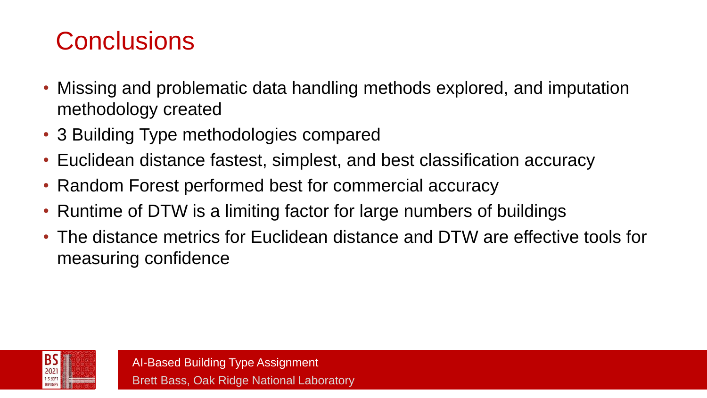# **Conclusions**

- Missing and problematic data handling methods explored, and imputation methodology created
- 3 Building Type methodologies compared
- Euclidean distance fastest, simplest, and best classification accuracy
- Random Forest performed best for commercial accuracy
- Runtime of DTW is a limiting factor for large numbers of buildings
- The distance metrics for Euclidean distance and DTW are effective tools for measuring confidence

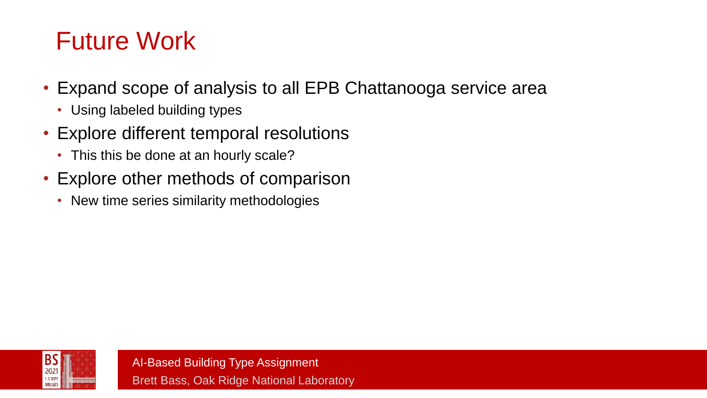# Future Work

- Expand scope of analysis to all EPB Chattanooga service area
	- Using labeled building types
- Explore different temporal resolutions
	- This this be done at an hourly scale?
- Explore other methods of comparison
	- New time series similarity methodologies